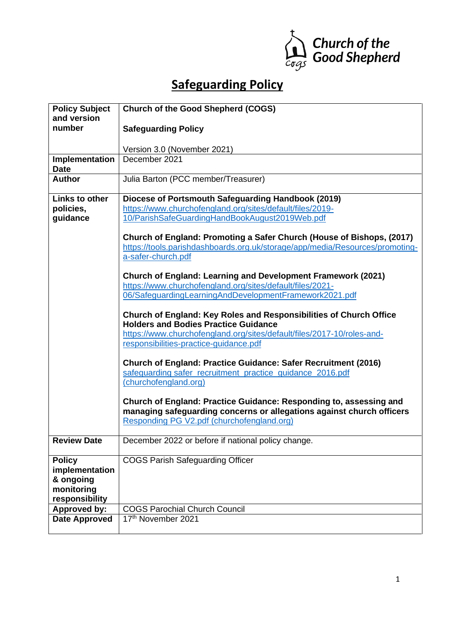

# **Safeguarding Policy**

| <b>Policy Subject</b> | <b>Church of the Good Shepherd (COGS)</b>                                    |
|-----------------------|------------------------------------------------------------------------------|
| and version           |                                                                              |
| number                | <b>Safeguarding Policy</b>                                                   |
|                       |                                                                              |
|                       | Version 3.0 (November 2021)                                                  |
| <b>Implementation</b> | December 2021                                                                |
| <b>Date</b>           |                                                                              |
| <b>Author</b>         | Julia Barton (PCC member/Treasurer)                                          |
|                       |                                                                              |
| <b>Links to other</b> | Diocese of Portsmouth Safeguarding Handbook (2019)                           |
| policies,             | https://www.churchofengland.org/sites/default/files/2019-                    |
| guidance              | 10/ParishSafeGuardingHandBookAugust2019Web.pdf                               |
|                       |                                                                              |
|                       | Church of England: Promoting a Safer Church (House of Bishops, (2017)        |
|                       | https://tools.parishdashboards.org.uk/storage/app/media/Resources/promoting- |
|                       | a-safer-church.pdf                                                           |
|                       |                                                                              |
|                       | Church of England: Learning and Development Framework (2021)                 |
|                       | https://www.churchofengland.org/sites/default/files/2021-                    |
|                       | 06/SafeguardingLearningAndDevelopmentFramework2021.pdf                       |
|                       |                                                                              |
|                       | Church of England: Key Roles and Responsibilities of Church Office           |
|                       | <b>Holders and Bodies Practice Guidance</b>                                  |
|                       | https://www.churchofengland.org/sites/default/files/2017-10/roles-and-       |
|                       | responsibilities-practice-guidance.pdf                                       |
|                       |                                                                              |
|                       | Church of England: Practice Guidance: Safer Recruitment (2016)               |
|                       | safeguarding safer_recruitment_practice_guidance_2016.pdf                    |
|                       | (churchofengland.org)                                                        |
|                       |                                                                              |
|                       | Church of England: Practice Guidance: Responding to, assessing and           |
|                       | managing safeguarding concerns or allegations against church officers        |
|                       | Responding PG V2.pdf (churchofengland.org)                                   |
|                       |                                                                              |
| <b>Review Date</b>    | December 2022 or before if national policy change.                           |
|                       |                                                                              |
| <b>Policy</b>         | <b>COGS Parish Safeguarding Officer</b>                                      |
| implementation        |                                                                              |
| & ongoing             |                                                                              |
| monitoring            |                                                                              |
| responsibility        |                                                                              |
| <b>Approved by:</b>   | <b>COGS Parochial Church Council</b>                                         |
| <b>Date Approved</b>  | 17th November 2021                                                           |
|                       |                                                                              |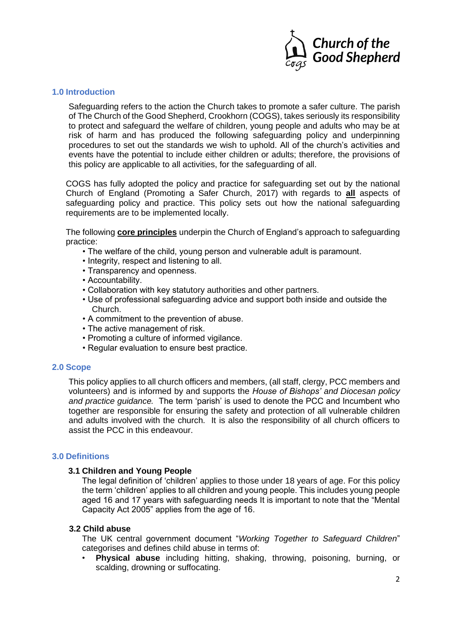

#### **1.0 Introduction**

Safeguarding refers to the action the Church takes to promote a safer culture. The parish of The Church of the Good Shepherd, Crookhorn (COGS), takes seriously its responsibility to protect and safeguard the welfare of children, young people and adults who may be at risk of harm and has produced the following safeguarding policy and underpinning procedures to set out the standards we wish to uphold. All of the church's activities and events have the potential to include either children or adults; therefore, the provisions of this policy are applicable to all activities, for the safeguarding of all.

COGS has fully adopted the policy and practice for safeguarding set out by the national Church of England (Promoting a Safer Church, 2017) with regards to **all** aspects of safeguarding policy and practice. This policy sets out how the national safeguarding requirements are to be implemented locally.

The following **core principles** underpin the Church of England's approach to safeguarding practice:

- The welfare of the child, young person and vulnerable adult is paramount.
- Integrity, respect and listening to all.
- Transparency and openness.
- Accountability.
- Collaboration with key statutory authorities and other partners.
- Use of professional safeguarding advice and support both inside and outside the Church.
- A commitment to the prevention of abuse.
- The active management of risk.
- Promoting a culture of informed vigilance.
- Regular evaluation to ensure best practice.

#### **2.0 Scope**

This policy applies to all church officers and members, (all staff, clergy, PCC members and volunteers) and is informed by and supports the *House of Bishops' and Diocesan policy and practice guidance.* The term 'parish' is used to denote the PCC and Incumbent who together are responsible for ensuring the safety and protection of all vulnerable children and adults involved with the church. It is also the responsibility of all church officers to assist the PCC in this endeavour.

#### **3.0 Definitions**

#### **3.1 Children and Young People**

The legal definition of 'children' applies to those under 18 years of age. For this policy the term 'children' applies to all children and young people. This includes young people aged 16 and 17 years with safeguarding needs It is important to note that the "Mental Capacity Act 2005" applies from the age of 16.

#### **3.2 Child abuse**

The UK central government document "*Working Together to Safeguard Children*" categorises and defines child abuse in terms of:

• **Physical abuse** including hitting, shaking, throwing, poisoning, burning, or scalding, drowning or suffocating.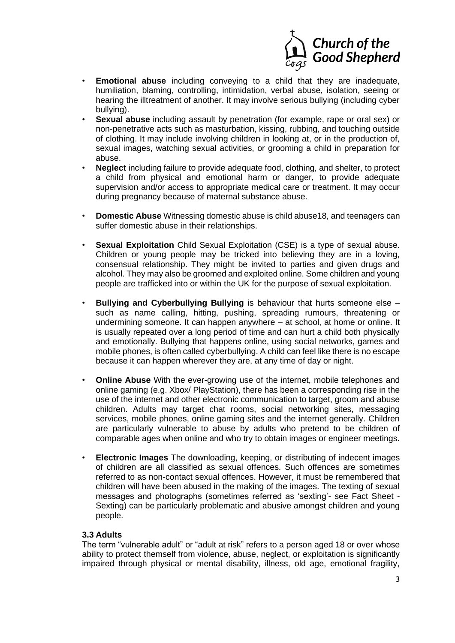

- **Emotional abuse** including conveying to a child that they are inadequate, humiliation, blaming, controlling, intimidation, verbal abuse, isolation, seeing or hearing the illtreatment of another. It may involve serious bullying (including cyber bullying).
- **Sexual abuse** including assault by penetration (for example, rape or oral sex) or non-penetrative acts such as masturbation, kissing, rubbing, and touching outside of clothing. It may include involving children in looking at, or in the production of, sexual images, watching sexual activities, or grooming a child in preparation for abuse.
- **Neglect** including failure to provide adequate food, clothing, and shelter, to protect a child from physical and emotional harm or danger, to provide adequate supervision and/or access to appropriate medical care or treatment. It may occur during pregnancy because of maternal substance abuse.
- **Domestic Abuse** Witnessing domestic abuse is child abuse18, and teenagers can suffer domestic abuse in their relationships.
- **Sexual Exploitation** Child Sexual Exploitation (CSE) is a type of sexual abuse. Children or young people may be tricked into believing they are in a loving, consensual relationship. They might be invited to parties and given drugs and alcohol. They may also be groomed and exploited online. Some children and young people are trafficked into or within the UK for the purpose of sexual exploitation.
- **Bullying and Cyberbullying Bullying** is behaviour that hurts someone else such as name calling, hitting, pushing, spreading rumours, threatening or undermining someone. It can happen anywhere – at school, at home or online. It is usually repeated over a long period of time and can hurt a child both physically and emotionally. Bullying that happens online, using social networks, games and mobile phones, is often called cyberbullying. A child can feel like there is no escape because it can happen wherever they are, at any time of day or night.
- **Online Abuse** With the ever-growing use of the internet, mobile telephones and online gaming (e.g. Xbox/ PlayStation), there has been a corresponding rise in the use of the internet and other electronic communication to target, groom and abuse children. Adults may target chat rooms, social networking sites, messaging services, mobile phones, online gaming sites and the internet generally. Children are particularly vulnerable to abuse by adults who pretend to be children of comparable ages when online and who try to obtain images or engineer meetings.
- **Electronic Images** The downloading, keeping, or distributing of indecent images of children are all classified as sexual offences. Such offences are sometimes referred to as non-contact sexual offences. However, it must be remembered that children will have been abused in the making of the images. The texting of sexual messages and photographs (sometimes referred as 'sexting'- see Fact Sheet - Sexting) can be particularly problematic and abusive amongst children and young people.

## **3.3 Adults**

The term "vulnerable adult" or "adult at risk" refers to a person aged 18 or over whose ability to protect themself from violence, abuse, neglect, or exploitation is significantly impaired through physical or mental disability, illness, old age, emotional fragility,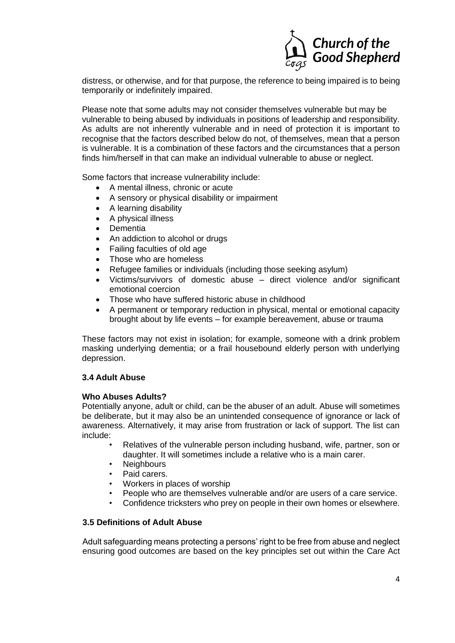

distress, or otherwise, and for that purpose, the reference to being impaired is to being temporarily or indefinitely impaired.

Please note that some adults may not consider themselves vulnerable but may be vulnerable to being abused by individuals in positions of leadership and responsibility. As adults are not inherently vulnerable and in need of protection it is important to recognise that the factors described below do not, of themselves, mean that a person is vulnerable. It is a combination of these factors and the circumstances that a person finds him/herself in that can make an individual vulnerable to abuse or neglect.

Some factors that increase vulnerability include:

- A mental illness, chronic or acute
- A sensory or physical disability or impairment
- A learning disability
- A physical illness
- Dementia
- An addiction to alcohol or drugs
- Failing faculties of old age
- Those who are homeless
- Refugee families or individuals (including those seeking asylum)
- Victims/survivors of domestic abuse direct violence and/or significant emotional coercion
- Those who have suffered historic abuse in childhood
- A permanent or temporary reduction in physical, mental or emotional capacity brought about by life events – for example bereavement, abuse or trauma

These factors may not exist in isolation; for example, someone with a drink problem masking underlying dementia; or a frail housebound elderly person with underlying depression.

#### **3.4 Adult Abuse**

#### **Who Abuses Adults?**

Potentially anyone, adult or child, can be the abuser of an adult. Abuse will sometimes be deliberate, but it may also be an unintended consequence of ignorance or lack of awareness. Alternatively, it may arise from frustration or lack of support. The list can include:

- Relatives of the vulnerable person including husband, wife, partner, son or daughter. It will sometimes include a relative who is a main carer.
- **Neighbours**
- Paid carers.
- Workers in places of worship
- People who are themselves vulnerable and/or are users of a care service.
- Confidence tricksters who prey on people in their own homes or elsewhere.

## **3.5 Definitions of Adult Abuse**

Adult safeguarding means protecting a persons' right to be free from abuse and neglect ensuring good outcomes are based on the key principles set out within the Care Act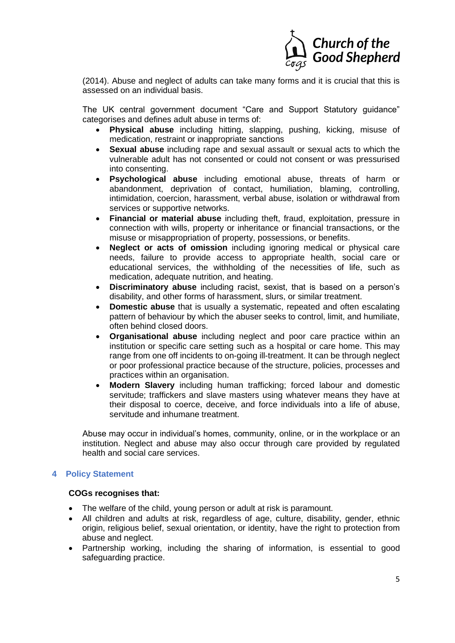

(2014). Abuse and neglect of adults can take many forms and it is crucial that this is assessed on an individual basis.

The UK central government document "Care and Support Statutory guidance" categorises and defines adult abuse in terms of:

- **Physical abuse** including hitting, slapping, pushing, kicking, misuse of medication, restraint or inappropriate sanctions
- **Sexual abuse** including rape and sexual assault or sexual acts to which the vulnerable adult has not consented or could not consent or was pressurised into consenting.
- **Psychological abuse** including emotional abuse, threats of harm or abandonment, deprivation of contact, humiliation, blaming, controlling, intimidation, coercion, harassment, verbal abuse, isolation or withdrawal from services or supportive networks.
- **Financial or material abuse** including theft, fraud, exploitation, pressure in connection with wills, property or inheritance or financial transactions, or the misuse or misappropriation of property, possessions, or benefits.
- **Neglect or acts of omission** including ignoring medical or physical care needs, failure to provide access to appropriate health, social care or educational services, the withholding of the necessities of life, such as medication, adequate nutrition, and heating.
- **Discriminatory abuse** including racist, sexist, that is based on a person's disability, and other forms of harassment, slurs, or similar treatment.
- **Domestic abuse** that is usually a systematic, repeated and often escalating pattern of behaviour by which the abuser seeks to control, limit, and humiliate, often behind closed doors.
- **Organisational abuse** including neglect and poor care practice within an institution or specific care setting such as a hospital or care home. This may range from one off incidents to on-going ill-treatment. It can be through neglect or poor professional practice because of the structure, policies, processes and practices within an organisation.
- **Modern Slavery** including human trafficking; forced labour and domestic servitude; traffickers and slave masters using whatever means they have at their disposal to coerce, deceive, and force individuals into a life of abuse, servitude and inhumane treatment.

Abuse may occur in individual's homes, community, online, or in the workplace or an institution. Neglect and abuse may also occur through care provided by regulated health and social care services.

# **4 Policy Statement**

#### **COGs recognises that:**

- The welfare of the child, young person or adult at risk is paramount.
- All children and adults at risk, regardless of age, culture, disability, gender, ethnic origin, religious belief, sexual orientation, or identity, have the right to protection from abuse and neglect.
- Partnership working, including the sharing of information, is essential to good safeguarding practice.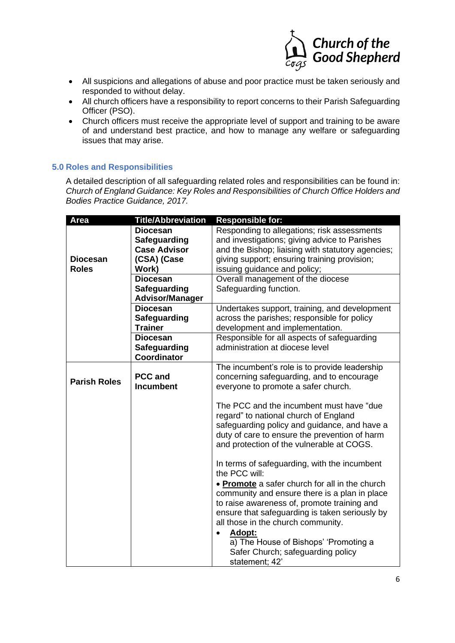

- All suspicions and allegations of abuse and poor practice must be taken seriously and responded to without delay.
- All church officers have a responsibility to report concerns to their Parish Safeguarding Officer (PSO).
- Church officers must receive the appropriate level of support and training to be aware of and understand best practice, and how to manage any welfare or safeguarding issues that may arise.

# **5.0 Roles and Responsibilities**

A detailed description of all safeguarding related roles and responsibilities can be found in: *Church of England Guidance: Key Roles and Responsibilities of Church Office Holders and Bodies Practice Guidance, 2017.*

| Responding to allegations; risk assessments<br>and investigations; giving advice to Parishes<br>and the Bishop; liaising with statutory agencies;<br>giving support; ensuring training provision;<br>issuing guidance and policy;<br>Overall management of the diocese<br>Safeguarding function.<br>Undertakes support, training, and development |
|---------------------------------------------------------------------------------------------------------------------------------------------------------------------------------------------------------------------------------------------------------------------------------------------------------------------------------------------------|
|                                                                                                                                                                                                                                                                                                                                                   |
|                                                                                                                                                                                                                                                                                                                                                   |
|                                                                                                                                                                                                                                                                                                                                                   |
|                                                                                                                                                                                                                                                                                                                                                   |
|                                                                                                                                                                                                                                                                                                                                                   |
|                                                                                                                                                                                                                                                                                                                                                   |
|                                                                                                                                                                                                                                                                                                                                                   |
|                                                                                                                                                                                                                                                                                                                                                   |
|                                                                                                                                                                                                                                                                                                                                                   |
| across the parishes; responsible for policy                                                                                                                                                                                                                                                                                                       |
| development and implementation.                                                                                                                                                                                                                                                                                                                   |
| Responsible for all aspects of safeguarding                                                                                                                                                                                                                                                                                                       |
| administration at diocese level                                                                                                                                                                                                                                                                                                                   |
|                                                                                                                                                                                                                                                                                                                                                   |
| The incumbent's role is to provide leadership<br>concerning safeguarding, and to encourage                                                                                                                                                                                                                                                        |
| everyone to promote a safer church.                                                                                                                                                                                                                                                                                                               |
| The PCC and the incumbent must have "due<br>regard" to national church of England<br>safeguarding policy and guidance, and have a<br>duty of care to ensure the prevention of harm<br>and protection of the vulnerable at COGS.                                                                                                                   |
| In terms of safeguarding, with the incumbent<br>the PCC will:                                                                                                                                                                                                                                                                                     |
| • Promote a safer church for all in the church<br>community and ensure there is a plan in place<br>to raise awareness of, promote training and<br>ensure that safeguarding is taken seriously by<br>all those in the church community.<br>Adopt:<br>a) The House of Bishops' 'Promoting a                                                         |
|                                                                                                                                                                                                                                                                                                                                                   |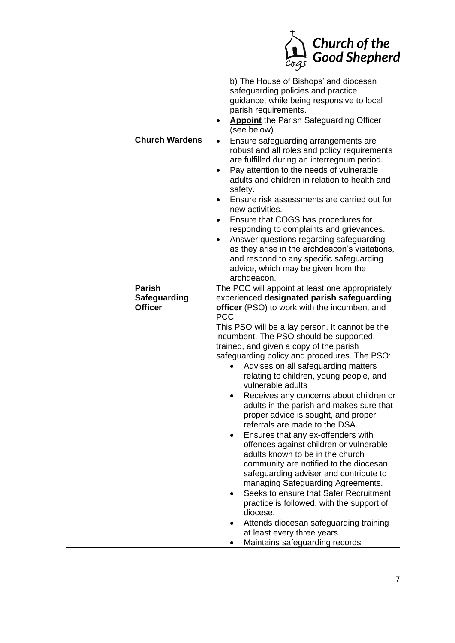

|                                       | b) The House of Bishops' and diocesan<br>safeguarding policies and practice<br>guidance, while being responsive to local<br>parish requirements.<br><b>Appoint</b> the Parish Safeguarding Officer<br>$\bullet$<br>(see below)                                                                                                                                                                                                                                                                                                                                                                                                                                                                                                                                                                                                                          |
|---------------------------------------|---------------------------------------------------------------------------------------------------------------------------------------------------------------------------------------------------------------------------------------------------------------------------------------------------------------------------------------------------------------------------------------------------------------------------------------------------------------------------------------------------------------------------------------------------------------------------------------------------------------------------------------------------------------------------------------------------------------------------------------------------------------------------------------------------------------------------------------------------------|
| <b>Church Wardens</b>                 | Ensure safeguarding arrangements are<br>$\bullet$<br>robust and all roles and policy requirements<br>are fulfilled during an interregnum period.<br>Pay attention to the needs of vulnerable<br>adults and children in relation to health and<br>safety.<br>Ensure risk assessments are carried out for<br>$\bullet$<br>new activities.<br>Ensure that COGS has procedures for<br>responding to complaints and grievances.<br>Answer questions regarding safeguarding<br>$\bullet$<br>as they arise in the archdeacon's visitations,<br>and respond to any specific safeguarding<br>advice, which may be given from the<br>archdeacon.                                                                                                                                                                                                                  |
| <b>Parish</b>                         |                                                                                                                                                                                                                                                                                                                                                                                                                                                                                                                                                                                                                                                                                                                                                                                                                                                         |
| <b>Safeguarding</b><br><b>Officer</b> | The PCC will appoint at least one appropriately<br>experienced designated parish safeguarding<br>officer (PSO) to work with the incumbent and<br>PCC.                                                                                                                                                                                                                                                                                                                                                                                                                                                                                                                                                                                                                                                                                                   |
|                                       | This PSO will be a lay person. It cannot be the<br>incumbent. The PSO should be supported,<br>trained, and given a copy of the parish<br>safeguarding policy and procedures. The PSO:<br>Advises on all safeguarding matters<br>relating to children, young people, and<br>vulnerable adults<br>Receives any concerns about children or<br>adults in the parish and makes sure that<br>proper advice is sought, and proper<br>referrals are made to the DSA.<br>Ensures that any ex-offenders with<br>offences against children or vulnerable<br>adults known to be in the church<br>community are notified to the diocesan<br>safeguarding adviser and contribute to<br>managing Safeguarding Agreements.<br>Seeks to ensure that Safer Recruitment<br>practice is followed, with the support of<br>diocese.<br>Attends diocesan safeguarding training |
|                                       | at least every three years.<br>Maintains safeguarding records                                                                                                                                                                                                                                                                                                                                                                                                                                                                                                                                                                                                                                                                                                                                                                                           |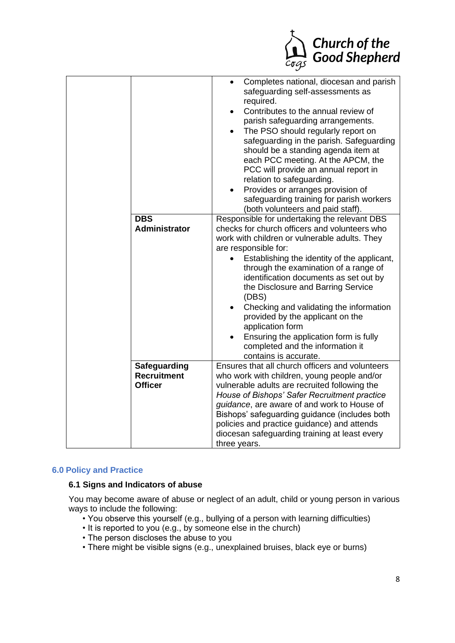

| <b>DBS</b><br><b>Administrator</b>                   | Completes national, diocesan and parish<br>safeguarding self-assessments as<br>required.<br>Contributes to the annual review of<br>$\bullet$<br>parish safeguarding arrangements.<br>The PSO should regularly report on<br>safeguarding in the parish. Safeguarding<br>should be a standing agenda item at<br>each PCC meeting. At the APCM, the<br>PCC will provide an annual report in<br>relation to safeguarding.<br>Provides or arranges provision of<br>safeguarding training for parish workers<br>(both volunteers and paid staff).<br>Responsible for undertaking the relevant DBS<br>checks for church officers and volunteers who<br>work with children or vulnerable adults. They<br>are responsible for:<br>Establishing the identity of the applicant,<br>through the examination of a range of<br>identification documents as set out by<br>the Disclosure and Barring Service<br>(DBS)<br>Checking and validating the information<br>provided by the applicant on the<br>application form<br>Ensuring the application form is fully<br>completed and the information it<br>contains is accurate. |
|------------------------------------------------------|------------------------------------------------------------------------------------------------------------------------------------------------------------------------------------------------------------------------------------------------------------------------------------------------------------------------------------------------------------------------------------------------------------------------------------------------------------------------------------------------------------------------------------------------------------------------------------------------------------------------------------------------------------------------------------------------------------------------------------------------------------------------------------------------------------------------------------------------------------------------------------------------------------------------------------------------------------------------------------------------------------------------------------------------------------------------------------------------------------------|
| Safeguarding<br><b>Recruitment</b><br><b>Officer</b> | Ensures that all church officers and volunteers<br>who work with children, young people and/or<br>vulnerable adults are recruited following the<br>House of Bishops' Safer Recruitment practice<br>guidance, are aware of and work to House of<br>Bishops' safeguarding guidance (includes both<br>policies and practice guidance) and attends<br>diocesan safeguarding training at least every<br>three years.                                                                                                                                                                                                                                                                                                                                                                                                                                                                                                                                                                                                                                                                                                  |

## **6.0 Policy and Practice**

# **6.1 Signs and Indicators of abuse**

You may become aware of abuse or neglect of an adult, child or young person in various ways to include the following:

- You observe this yourself (e.g., bullying of a person with learning difficulties)
- It is reported to you (e.g., by someone else in the church)
- The person discloses the abuse to you
- There might be visible signs (e.g., unexplained bruises, black eye or burns)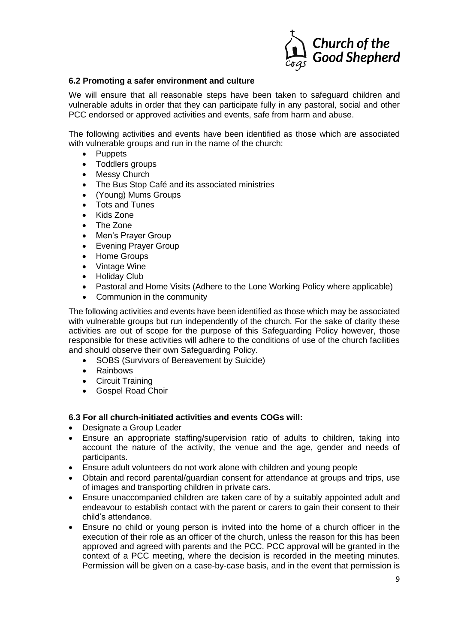

## **6.2 Promoting a safer environment and culture**

We will ensure that all reasonable steps have been taken to safeguard children and vulnerable adults in order that they can participate fully in any pastoral, social and other PCC endorsed or approved activities and events, safe from harm and abuse.

The following activities and events have been identified as those which are associated with vulnerable groups and run in the name of the church:

- Puppets
- Toddlers groups
- Messy Church
- The Bus Stop Café and its associated ministries
- (Young) Mums Groups
- Tots and Tunes
- Kids Zone
- The Zone
- Men's Prayer Group
- Evening Prayer Group
- Home Groups
- Vintage Wine
- Holiday Club
- Pastoral and Home Visits (Adhere to the Lone Working Policy where applicable)
- Communion in the community

The following activities and events have been identified as those which may be associated with vulnerable groups but run independently of the church. For the sake of clarity these activities are out of scope for the purpose of this Safeguarding Policy however, those responsible for these activities will adhere to the conditions of use of the church facilities and should observe their own Safeguarding Policy.

- SOBS (Survivors of Bereavement by Suicide)
- Rainbows
- Circuit Training
- Gospel Road Choir

## **6.3 For all church-initiated activities and events COGs will:**

- Designate a Group Leader
- Ensure an appropriate staffing/supervision ratio of adults to children, taking into account the nature of the activity, the venue and the age, gender and needs of participants.
- Ensure adult volunteers do not work alone with children and young people
- Obtain and record parental/guardian consent for attendance at groups and trips, use of images and transporting children in private cars.
- Ensure unaccompanied children are taken care of by a suitably appointed adult and endeavour to establish contact with the parent or carers to gain their consent to their child's attendance.
- Ensure no child or young person is invited into the home of a church officer in the execution of their role as an officer of the church, unless the reason for this has been approved and agreed with parents and the PCC. PCC approval will be granted in the context of a PCC meeting, where the decision is recorded in the meeting minutes. Permission will be given on a case-by-case basis, and in the event that permission is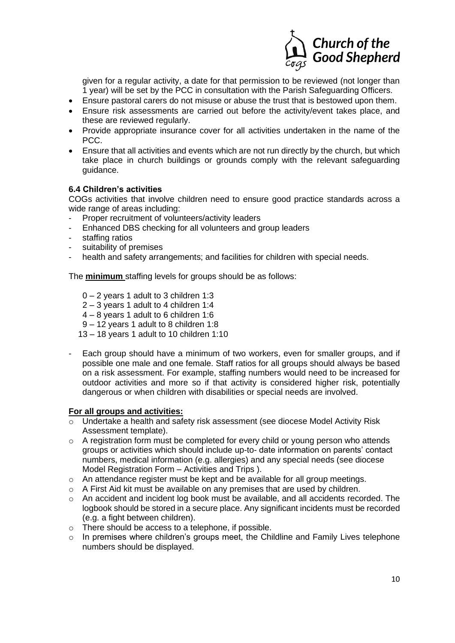

given for a regular activity, a date for that permission to be reviewed (not longer than 1 year) will be set by the PCC in consultation with the Parish Safeguarding Officers.

- Ensure pastoral carers do not misuse or abuse the trust that is bestowed upon them.
- Ensure risk assessments are carried out before the activity/event takes place, and these are reviewed regularly.
- Provide appropriate insurance cover for all activities undertaken in the name of the PCC.
- Ensure that all activities and events which are not run directly by the church, but which take place in church buildings or grounds comply with the relevant safeguarding guidance.

## **6.4 Children's activities**

COGs activities that involve children need to ensure good practice standards across a wide range of areas including:

- Proper recruitment of volunteers/activity leaders
- Enhanced DBS checking for all volunteers and group leaders
- staffing ratios
- suitability of premises
- health and safety arrangements; and facilities for children with special needs.

The **minimum** staffing levels for groups should be as follows:

- 0 2 years 1 adult to 3 children 1:3
- 2 3 years 1 adult to 4 children 1:4
- 4 8 years 1 adult to 6 children 1:6
- 9 12 years 1 adult to 8 children 1:8
- 13 18 years 1 adult to 10 children 1:10
- Each group should have a minimum of two workers, even for smaller groups, and if possible one male and one female. Staff ratios for all groups should always be based on a risk assessment. For example, staffing numbers would need to be increased for outdoor activities and more so if that activity is considered higher risk, potentially dangerous or when children with disabilities or special needs are involved.

#### **For all groups and activities:**

- $\overline{\circ}$  Undertake a health and safety risk assessment (see diocese Model Activity Risk Assessment template).
- $\circ$  A registration form must be completed for every child or young person who attends groups or activities which should include up-to- date information on parents' contact numbers, medical information (e.g. allergies) and any special needs (see diocese Model Registration Form – Activities and Trips ).
- o An attendance register must be kept and be available for all group meetings.
- $\circ$  A First Aid kit must be available on any premises that are used by children.
- o An accident and incident log book must be available, and all accidents recorded. The logbook should be stored in a secure place. Any significant incidents must be recorded (e.g. a fight between children).
- o There should be access to a telephone, if possible.
- o In premises where children's groups meet, the Childline and Family Lives telephone numbers should be displayed.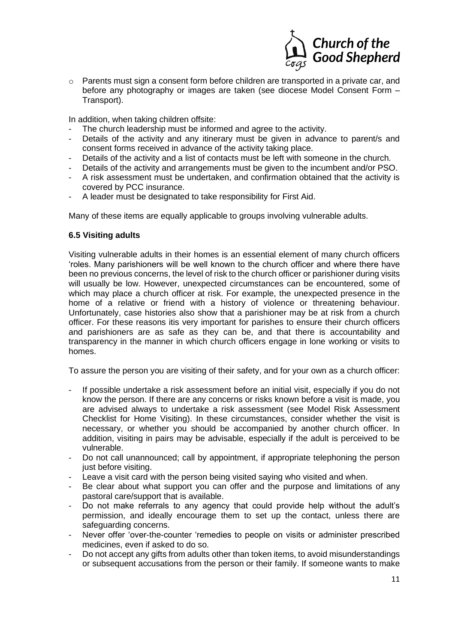

o Parents must sign a consent form before children are transported in a private car, and before any photography or images are taken (see diocese Model Consent Form – Transport).

In addition, when taking children offsite:

- The church leadership must be informed and agree to the activity.
- Details of the activity and any itinerary must be given in advance to parent/s and consent forms received in advance of the activity taking place.
- Details of the activity and a list of contacts must be left with someone in the church.
- Details of the activity and arrangements must be given to the incumbent and/or PSO.
- A risk assessment must be undertaken, and confirmation obtained that the activity is covered by PCC insurance.
- A leader must be designated to take responsibility for First Aid.

Many of these items are equally applicable to groups involving vulnerable adults.

## **6.5 Visiting adults**

Visiting vulnerable adults in their homes is an essential element of many church officers 'roles. Many parishioners will be well known to the church officer and where there have been no previous concerns, the level of risk to the church officer or parishioner during visits will usually be low. However, unexpected circumstances can be encountered, some of which may place a church officer at risk. For example, the unexpected presence in the home of a relative or friend with a history of violence or threatening behaviour. Unfortunately, case histories also show that a parishioner may be at risk from a church officer. For these reasons itis very important for parishes to ensure their church officers and parishioners are as safe as they can be, and that there is accountability and transparency in the manner in which church officers engage in lone working or visits to homes.

To assure the person you are visiting of their safety, and for your own as a church officer:

- If possible undertake a risk assessment before an initial visit, especially if you do not know the person. If there are any concerns or risks known before a visit is made, you are advised always to undertake a risk assessment (see Model Risk Assessment Checklist for Home Visiting). In these circumstances, consider whether the visit is necessary, or whether you should be accompanied by another church officer. In addition, visiting in pairs may be advisable, especially if the adult is perceived to be vulnerable.
- Do not call unannounced; call by appointment, if appropriate telephoning the person just before visiting.
- Leave a visit card with the person being visited saying who visited and when.
- Be clear about what support you can offer and the purpose and limitations of any pastoral care/support that is available.
- Do not make referrals to any agency that could provide help without the adult's permission, and ideally encourage them to set up the contact, unless there are safeguarding concerns.
- Never offer 'over-the-counter 'remedies to people on visits or administer prescribed medicines, even if asked to do so.
- Do not accept any gifts from adults other than token items, to avoid misunderstandings or subsequent accusations from the person or their family. If someone wants to make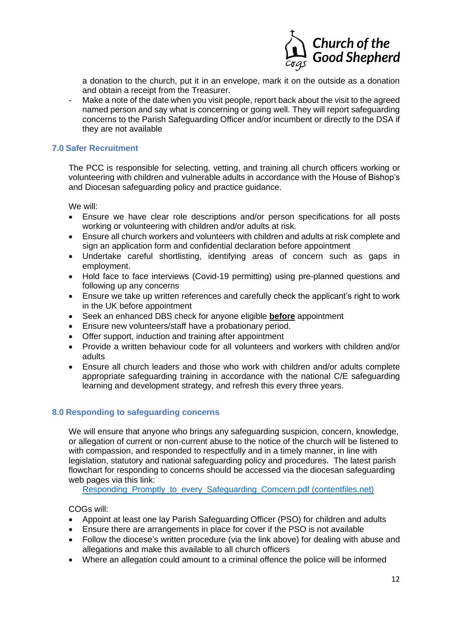

a donation to the church, put it in an envelope, mark it on the outside as a donation and obtain a receipt from the Treasurer.

- Make a note of the date when you visit people, report back about the visit to the agreed named person and say what is concerning or going well. They will report safeguarding concerns to the Parish Safeguarding Officer and/or incumbent or directly to the DSA if they are not available

## **7.0 Safer Recruitment**

The PCC is responsible for selecting, vetting, and training all church officers working or volunteering with children and vulnerable adults in accordance with the House of Bishop's and Diocesan safeguarding policy and practice guidance.

We will:

- Ensure we have clear role descriptions and/or person specifications for all posts working or volunteering with children and/or adults at risk.
- Ensure all church workers and volunteers with children and adults at risk complete and sign an application form and confidential declaration before appointment
- Undertake careful shortlisting, identifying areas of concern such as gaps in employment.
- Hold face to face interviews (Covid-19 permitting) using pre-planned questions and following up any concerns
- Ensure we take up written references and carefully check the applicant's right to work in the UK before appointment
- Seek an enhanced DBS check for anyone eligible **before** appointment
- Ensure new volunteers/staff have a probationary period.
- Offer support, induction and training after appointment
- Provide a written behaviour code for all volunteers and workers with children and/or adults
- Ensure all church leaders and those who work with children and/or adults complete appropriate safeguarding training in accordance with the national C/E safeguarding learning and development strategy, and refresh this every three years.

#### **8.0 Responding to safeguarding concerns**

We will ensure that anyone who brings any safeguarding suspicion, concern, knowledge, or allegation of current or non-current abuse to the notice of the church will be listened to with compassion, and responded to respectfully and in a timely manner, in line with legislation, statutory and national safeguarding policy and procedures. The latest parish flowchart for responding to concerns should be accessed via the diocesan safeguarding web pages via this link:

Responding Promptly to every Safeguarding Comcern.pdf (contentfiles.net)

COGs will:

- Appoint at least one lay Parish Safeguarding Officer (PSO) for children and adults
- Ensure there are arrangements in place for cover if the PSO is not available
- Follow the diocese's written procedure (via the link above) for dealing with abuse and allegations and make this available to all church officers
- Where an allegation could amount to a criminal offence the police will be informed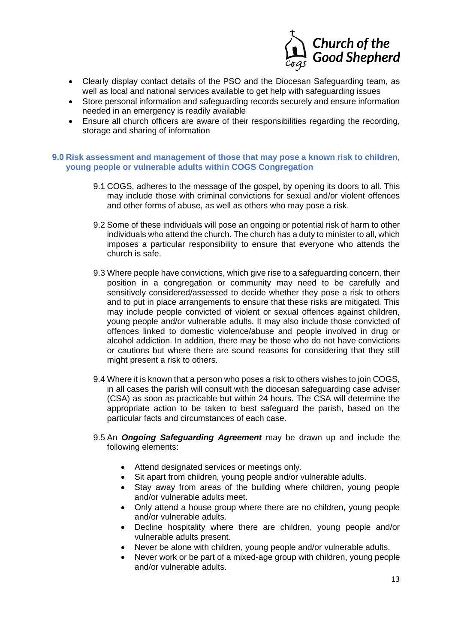

- Clearly display contact details of the PSO and the Diocesan Safeguarding team, as well as local and national services available to get help with safeguarding issues
- Store personal information and safeguarding records securely and ensure information needed in an emergency is readily available
- Ensure all church officers are aware of their responsibilities regarding the recording, storage and sharing of information

## **9.0 Risk assessment and management of those that may pose a known risk to children, young people or vulnerable adults within COGS Congregation**

- 9.1 COGS, adheres to the message of the gospel, by opening its doors to all. This may include those with criminal convictions for sexual and/or violent offences and other forms of abuse, as well as others who may pose a risk.
- 9.2 Some of these individuals will pose an ongoing or potential risk of harm to other individuals who attend the church. The church has a duty to minister to all, which imposes a particular responsibility to ensure that everyone who attends the church is safe.
- 9.3 Where people have convictions, which give rise to a safeguarding concern, their position in a congregation or community may need to be carefully and sensitively considered/assessed to decide whether they pose a risk to others and to put in place arrangements to ensure that these risks are mitigated. This may include people convicted of violent or sexual offences against children, young people and/or vulnerable adults. It may also include those convicted of offences linked to domestic violence/abuse and people involved in drug or alcohol addiction. In addition, there may be those who do not have convictions or cautions but where there are sound reasons for considering that they still might present a risk to others.
- 9.4 Where it is known that a person who poses a risk to others wishes to join COGS, in all cases the parish will consult with the diocesan safeguarding case adviser (CSA) as soon as practicable but within 24 hours. The CSA will determine the appropriate action to be taken to best safeguard the parish, based on the particular facts and circumstances of each case.
- 9.5 An *Ongoing Safeguarding Agreement* may be drawn up and include the following elements:
	- Attend designated services or meetings only.
	- Sit apart from children, young people and/or vulnerable adults.
	- Stay away from areas of the building where children, young people and/or vulnerable adults meet.
	- Only attend a house group where there are no children, young people and/or vulnerable adults.
	- Decline hospitality where there are children, young people and/or vulnerable adults present.
	- Never be alone with children, young people and/or vulnerable adults.
	- Never work or be part of a mixed-age group with children, young people and/or vulnerable adults.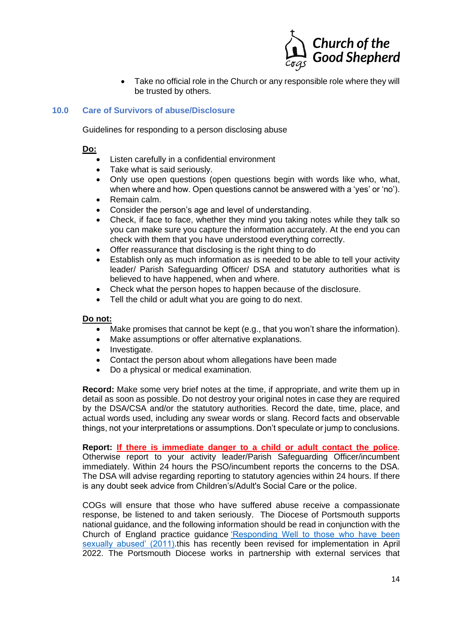

• Take no official role in the Church or any responsible role where they will be trusted by others.

## **10.0 Care of Survivors of abuse/Disclosure**

Guidelines for responding to a person disclosing abuse

## **Do:**

- Listen carefully in a confidential environment
- Take what is said seriously.
- Only use open questions (open questions begin with words like who, what, when where and how. Open questions cannot be answered with a 'yes' or 'no').
- Remain calm.
- Consider the person's age and level of understanding.
- Check, if face to face, whether they mind you taking notes while they talk so you can make sure you capture the information accurately. At the end you can check with them that you have understood everything correctly.
- Offer reassurance that disclosing is the right thing to do
- Establish only as much information as is needed to be able to tell your activity leader/ Parish Safeguarding Officer/ DSA and statutory authorities what is believed to have happened, when and where.
- Check what the person hopes to happen because of the disclosure.
- Tell the child or adult what you are going to do next.

#### **Do not:**

- Make promises that cannot be kept (e.g., that you won't share the information).
- Make assumptions or offer alternative explanations.
- Investigate.
- Contact the person about whom allegations have been made
- Do a physical or medical examination.

**Record:** Make some very brief notes at the time, if appropriate, and write them up in detail as soon as possible. Do not destroy your original notes in case they are required by the DSA/CSA and/or the statutory authorities. Record the date, time, place, and actual words used, including any swear words or slang. Record facts and observable things, not your interpretations or assumptions. Don't speculate or jump to conclusions.

**Report: If there is immediate danger to a child or adult contact the police**. Otherwise report to your activity leader/Parish Safeguarding Officer/incumbent immediately. Within 24 hours the PSO/incumbent reports the concerns to the DSA. The DSA will advise regarding reporting to statutory agencies within 24 hours. If there is any doubt seek advice from Children's/Adult's Social Care or the police.

COGs will ensure that those who have suffered abuse receive a compassionate response, be listened to and taken seriously. The Diocese of Portsmouth supports national guidance, and the following information should be read in conjunction with the Church of England practice guidance 'Responding Well to those who have been sexually abused' (2011).this has recently been revised for implementation in April 2022. The Portsmouth Diocese works in partnership with external services that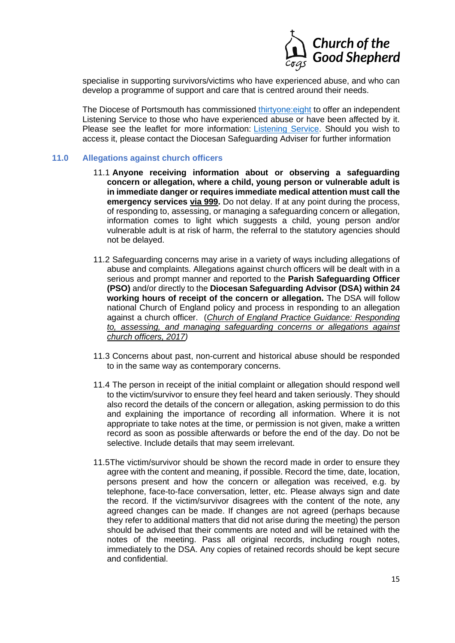

specialise in supporting survivors/victims who have experienced abuse, and who can develop a programme of support and care that is centred around their needs.

The Diocese of Portsmouth has commissioned *thirtyone:eight* to offer an independent Listening Service to those who have experienced abuse or have been affected by it. Please see the leaflet for more information: *Listening Service*. Should you wish to access it, please contact the Diocesan Safeguarding Adviser for further information

#### **11.0 Allegations against church officers**

- 11.1 **Anyone receiving information about or observing a safeguarding concern or allegation, where a child, young person or vulnerable adult is in immediate danger or requires immediate medical attention must call the emergency services via 999.** Do not delay. If at any point during the process, of responding to, assessing, or managing a safeguarding concern or allegation, information comes to light which suggests a child, young person and/or vulnerable adult is at risk of harm, the referral to the statutory agencies should not be delayed.
- 11.2 Safeguarding concerns may arise in a variety of ways including allegations of abuse and complaints. Allegations against church officers will be dealt with in a serious and prompt manner and reported to the **Parish Safeguarding Officer (PSO)** and/or directly to the **Diocesan Safeguarding Advisor (DSA) within 24 working hours of receipt of the concern or allegation.** The DSA will follow national Church of England policy and process in responding to an allegation against a church officer. (*Church of England Practice Guidance: Responding to, assessing, and managing safeguarding concerns or allegations against church officers, 2017)*
- 11.3 Concerns about past, non-current and historical abuse should be responded to in the same way as contemporary concerns.
- 11.4 The person in receipt of the initial complaint or allegation should respond well to the victim/survivor to ensure they feel heard and taken seriously. They should also record the details of the concern or allegation, asking permission to do this and explaining the importance of recording all information. Where it is not appropriate to take notes at the time, or permission is not given, make a written record as soon as possible afterwards or before the end of the day. Do not be selective. Include details that may seem irrelevant.
- 11.5The victim/survivor should be shown the record made in order to ensure they agree with the content and meaning, if possible. Record the time, date, location, persons present and how the concern or allegation was received, e.g. by telephone, face-to-face conversation, letter, etc. Please always sign and date the record. If the victim/survivor disagrees with the content of the note, any agreed changes can be made. If changes are not agreed (perhaps because they refer to additional matters that did not arise during the meeting) the person should be advised that their comments are noted and will be retained with the notes of the meeting. Pass all original records, including rough notes, immediately to the DSA. Any copies of retained records should be kept secure and confidential.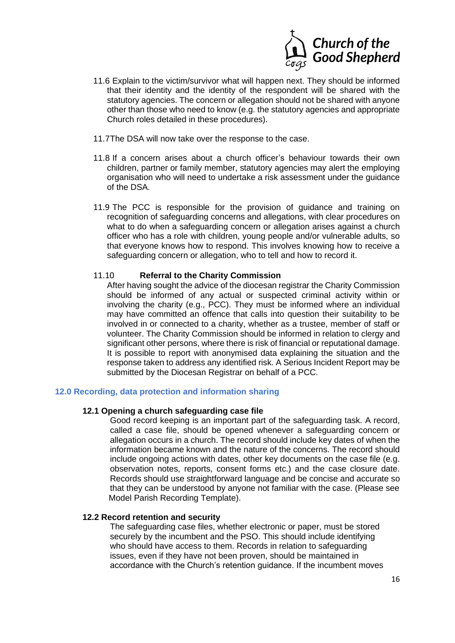

- 11.6 Explain to the victim/survivor what will happen next. They should be informed that their identity and the identity of the respondent will be shared with the statutory agencies. The concern or allegation should not be shared with anyone other than those who need to know (e.g. the statutory agencies and appropriate Church roles detailed in these procedures).
- 11.7The DSA will now take over the response to the case.
- 11.8 If a concern arises about a church officer's behaviour towards their own children, partner or family member, statutory agencies may alert the employing organisation who will need to undertake a risk assessment under the guidance of the DSA.
- 11.9 The PCC is responsible for the provision of guidance and training on recognition of safeguarding concerns and allegations, with clear procedures on what to do when a safeguarding concern or allegation arises against a church officer who has a role with children, young people and/or vulnerable adults, so that everyone knows how to respond. This involves knowing how to receive a safeguarding concern or allegation, who to tell and how to record it.

## 11.10 **Referral to the Charity Commission**

After having sought the advice of the diocesan registrar the Charity Commission should be informed of any actual or suspected criminal activity within or involving the charity (e.g., PCC). They must be informed where an individual may have committed an offence that calls into question their suitability to be involved in or connected to a charity, whether as a trustee, member of staff or volunteer. The Charity Commission should be informed in relation to clergy and significant other persons, where there is risk of financial or reputational damage. It is possible to report with anonymised data explaining the situation and the response taken to address any identified risk. A Serious Incident Report may be submitted by the Diocesan Registrar on behalf of a PCC.

## **12.0 Recording, data protection and information sharing**

#### **12.1 Opening a church safeguarding case file**

Good record keeping is an important part of the safeguarding task. A record, called a case file, should be opened whenever a safeguarding concern or allegation occurs in a church. The record should include key dates of when the information became known and the nature of the concerns. The record should include ongoing actions with dates, other key documents on the case file (e.g. observation notes, reports, consent forms etc.) and the case closure date. Records should use straightforward language and be concise and accurate so that they can be understood by anyone not familiar with the case. (Please see Model Parish Recording Template).

#### **12.2 Record retention and security**

The safeguarding case files, whether electronic or paper, must be stored securely by the incumbent and the PSO. This should include identifying who should have access to them. Records in relation to safeguarding issues, even if they have not been proven, should be maintained in accordance with the Church's retention guidance. If the incumbent moves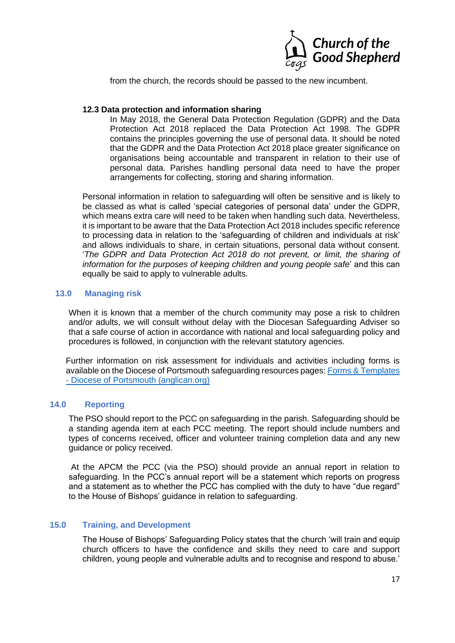

from the church, the records should be passed to the new incumbent.

## **12.3 Data protection and information sharing**

In May 2018, the General Data Protection Regulation (GDPR) and the Data Protection Act 2018 replaced the Data Protection Act 1998. The GDPR contains the principles governing the use of personal data. It should be noted that the GDPR and the Data Protection Act 2018 place greater significance on organisations being accountable and transparent in relation to their use of personal data. Parishes handling personal data need to have the proper arrangements for collecting, storing and sharing information.

Personal information in relation to safeguarding will often be sensitive and is likely to be classed as what is called 'special categories of personal data' under the GDPR, which means extra care will need to be taken when handling such data. Nevertheless, it is important to be aware that the Data Protection Act 2018 includes specific reference to processing data in relation to the 'safeguarding of children and individuals at risk' and allows individuals to share, in certain situations, personal data without consent. '*The GDPR and Data Protection Act 2018 do not prevent, or limit, the sharing of information for the purposes of keeping children and young people safe*' and this can equally be said to apply to vulnerable adults.

## **13.0 Managing risk**

When it is known that a member of the church community may pose a risk to children and/or adults, we will consult without delay with the Diocesan Safeguarding Adviser so that a safe course of action in accordance with national and local safeguarding policy and procedures is followed, in conjunction with the relevant statutory agencies.

Further information on risk assessment for individuals and activities including forms is available on the Diocese of Portsmouth safeguarding resources pages: Forms & Templates - Diocese of Portsmouth (anglican.org)

## **14.0 Reporting**

The PSO should report to the PCC on safeguarding in the parish. Safeguarding should be a standing agenda item at each PCC meeting. The report should include numbers and types of concerns received, officer and volunteer training completion data and any new guidance or policy received.

At the APCM the PCC (via the PSO) should provide an annual report in relation to safeguarding. In the PCC's annual report will be a statement which reports on progress and a statement as to whether the PCC has complied with the duty to have "due regard" to the House of Bishops' guidance in relation to safeguarding.

## **15.0 Training, and Development**

The House of Bishops' Safeguarding Policy states that the church 'will train and equip church officers to have the confidence and skills they need to care and support children, young people and vulnerable adults and to recognise and respond to abuse.'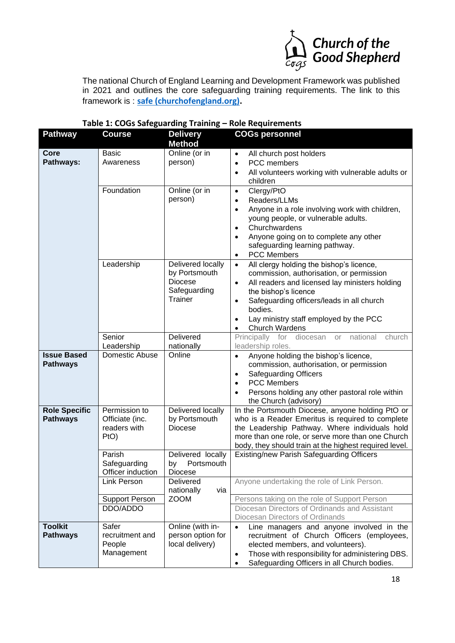

The national Church of England Learning and Development Framework was published in 2021 and outlines the core safeguarding training requirements. The link to this framework is : **safe (churchofengland.org).**

| <b>Pathway</b>                          | <b>Course</b>                                                                                                          | <b>Delivery</b><br><b>Method</b>                                                                                             | <b>COGs personnel</b>                                                                                                                                                                                                                                                                                                                                                                                                             |
|-----------------------------------------|------------------------------------------------------------------------------------------------------------------------|------------------------------------------------------------------------------------------------------------------------------|-----------------------------------------------------------------------------------------------------------------------------------------------------------------------------------------------------------------------------------------------------------------------------------------------------------------------------------------------------------------------------------------------------------------------------------|
| Core<br>Pathways:                       | <b>Basic</b><br>Awareness<br>Foundation                                                                                | Online (or in<br>person)<br>Online (or in<br>person)                                                                         | All church post holders<br>$\bullet$<br>PCC members<br>$\bullet$<br>All volunteers working with vulnerable adults or<br>$\bullet$<br>children<br>Clergy/PtO<br>$\bullet$<br>Readers/LLMs<br>$\bullet$<br>Anyone in a role involving work with children,<br>$\bullet$<br>young people, or vulnerable adults.<br>Churchwardens<br>$\bullet$<br>Anyone going on to complete any other<br>$\bullet$<br>safeguarding learning pathway. |
|                                         | Leadership                                                                                                             | Delivered locally<br>by Portsmouth<br><b>Diocese</b><br>Safeguarding<br>Trainer                                              | <b>PCC Members</b><br>$\bullet$<br>All clergy holding the bishop's licence,<br>$\bullet$<br>commission, authorisation, or permission<br>All readers and licensed lay ministers holding<br>$\bullet$<br>the bishop's licence<br>Safeguarding officers/leads in all church<br>$\bullet$<br>bodies.<br>Lay ministry staff employed by the PCC<br>$\bullet$<br><b>Church Wardens</b><br>٠                                             |
|                                         | Senior<br>Leadership                                                                                                   | Delivered<br>nationally                                                                                                      | Principally for<br>diocesan or national<br>church<br>leadership roles.                                                                                                                                                                                                                                                                                                                                                            |
| <b>Issue Based</b><br><b>Pathways</b>   | Domestic Abuse                                                                                                         | Online                                                                                                                       | Anyone holding the bishop's licence,<br>$\bullet$<br>commission, authorisation, or permission<br><b>Safeguarding Officers</b><br>$\bullet$<br><b>PCC Members</b><br>$\bullet$<br>Persons holding any other pastoral role within<br>$\bullet$<br>the Church (advisory)                                                                                                                                                             |
| <b>Role Specific</b><br><b>Pathways</b> | Permission to<br>Officiate (inc.<br>readers with<br>PtO)<br>Parish<br>Safeguarding<br>Officer induction<br>Link Person | Delivered locally<br>by Portsmouth<br><b>Diocese</b><br>Delivered locally<br>Portsmouth<br>by<br>Diocese<br><b>Delivered</b> | In the Portsmouth Diocese, anyone holding PtO or<br>who is a Reader Emeritus is required to complete<br>the Leadership Pathway. Where individuals hold<br>more than one role, or serve more than one Church<br>body, they should train at the highest required level.<br>Existing/new Parish Safeguarding Officers<br>Anyone undertaking the role of Link Person.                                                                 |
|                                         | <b>Support Person</b><br>DDO/ADDO                                                                                      | nationally<br>via<br><b>ZOOM</b>                                                                                             | Persons taking on the role of Support Person<br>Diocesan Directors of Ordinands and Assistant<br>Diocesan Directors of Ordinands                                                                                                                                                                                                                                                                                                  |
| <b>Toolkit</b><br><b>Pathways</b>       | Safer<br>recruitment and<br>People<br>Management                                                                       | Online (with in-<br>person option for<br>local delivery)                                                                     | Line managers and anyone involved in the<br>$\bullet$<br>recruitment of Church Officers (employees,<br>elected members, and volunteers).<br>Those with responsibility for administering DBS.<br>$\bullet$<br>Safeguarding Officers in all Church bodies.<br>$\bullet$                                                                                                                                                             |

## **Table 1: COGs Safeguarding Training – Role Requirements**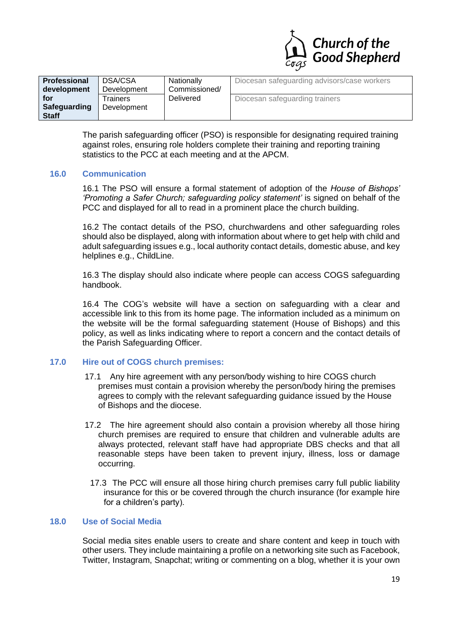

| Professional<br>development         | DSA/CSA<br>Development         | Nationally<br>Commissioned/<br><b>Delivered</b> | Diocesan safeguarding advisors/case workers |
|-------------------------------------|--------------------------------|-------------------------------------------------|---------------------------------------------|
| for<br>Safeguarding<br><b>Staff</b> | <b>Trainers</b><br>Development |                                                 | Diocesan safeguarding trainers              |

The parish safeguarding officer (PSO) is responsible for designating required training against roles, ensuring role holders complete their training and reporting training statistics to the PCC at each meeting and at the APCM.

#### **16.0 Communication**

16.1 The PSO will ensure a formal statement of adoption of the *House of Bishops' 'Promoting a Safer Church; safeguarding policy statement'* is signed on behalf of the PCC and displayed for all to read in a prominent place the church building.

16.2 The contact details of the PSO, churchwardens and other safeguarding roles should also be displayed, along with information about where to get help with child and adult safeguarding issues e.g., local authority contact details, domestic abuse, and key helplines e.g., ChildLine.

16.3 The display should also indicate where people can access COGS safeguarding handbook.

16.4 The COG's website will have a section on safeguarding with a clear and accessible link to this from its home page. The information included as a minimum on the website will be the formal safeguarding statement (House of Bishops) and this policy, as well as links indicating where to report a concern and the contact details of the Parish Safeguarding Officer.

#### **17.0 Hire out of COGS church premises:**

- 17.1 Any hire agreement with any person/body wishing to hire COGS church premises must contain a provision whereby the person/body hiring the premises agrees to comply with the relevant safeguarding guidance issued by the House of Bishops and the diocese.
- 17.2 The hire agreement should also contain a provision whereby all those hiring church premises are required to ensure that children and vulnerable adults are always protected, relevant staff have had appropriate DBS checks and that all reasonable steps have been taken to prevent injury, illness, loss or damage occurring.
	- 17.3 The PCC will ensure all those hiring church premises carry full public liability insurance for this or be covered through the church insurance (for example hire for a children's party).

## **18.0 Use of Social Media**

Social media sites enable users to create and share content and keep in touch with other users. They include maintaining a profile on a networking site such as Facebook, Twitter, Instagram, Snapchat; writing or commenting on a blog, whether it is your own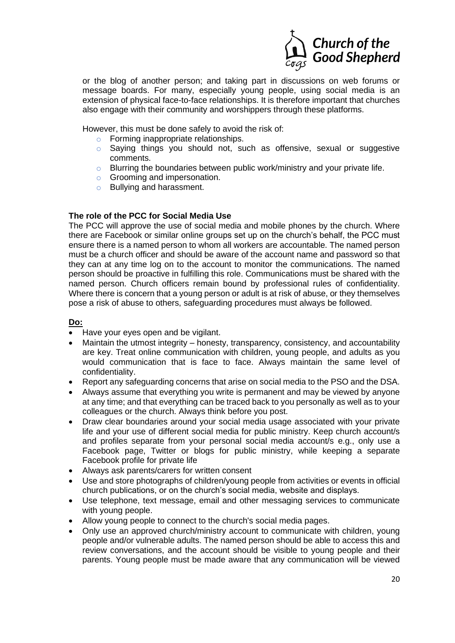

or the blog of another person; and taking part in discussions on web forums or message boards. For many, especially young people, using social media is an extension of physical face-to-face relationships. It is therefore important that churches also engage with their community and worshippers through these platforms.

However, this must be done safely to avoid the risk of:

- o Forming inappropriate relationships.
- o Saying things you should not, such as offensive, sexual or suggestive comments.
- $\circ$  Blurring the boundaries between public work/ministry and your private life.
- o Grooming and impersonation.
- o Bullying and harassment.

## **The role of the PCC for Social Media Use**

The PCC will approve the use of social media and mobile phones by the church. Where there are Facebook or similar online groups set up on the church's behalf, the PCC must ensure there is a named person to whom all workers are accountable. The named person must be a church officer and should be aware of the account name and password so that they can at any time log on to the account to monitor the communications. The named person should be proactive in fulfilling this role. Communications must be shared with the named person. Church officers remain bound by professional rules of confidentiality. Where there is concern that a young person or adult is at risk of abuse, or they themselves pose a risk of abuse to others, safeguarding procedures must always be followed.

## **Do:**

- Have your eyes open and be vigilant.
- Maintain the utmost integrity honesty, transparency, consistency, and accountability are key. Treat online communication with children, young people, and adults as you would communication that is face to face. Always maintain the same level of confidentiality.
- Report any safeguarding concerns that arise on social media to the PSO and the DSA.
- Always assume that everything you write is permanent and may be viewed by anyone at any time; and that everything can be traced back to you personally as well as to your colleagues or the church. Always think before you post.
- Draw clear boundaries around your social media usage associated with your private life and your use of different social media for public ministry. Keep church account/s and profiles separate from your personal social media account/s e.g., only use a Facebook page, Twitter or blogs for public ministry, while keeping a separate Facebook profile for private life
- Always ask parents/carers for written consent
- Use and store photographs of children/young people from activities or events in official church publications, or on the church's social media, website and displays.
- Use telephone, text message, email and other messaging services to communicate with young people.
- Allow young people to connect to the church's social media pages.
- Only use an approved church/ministry account to communicate with children, young people and/or vulnerable adults. The named person should be able to access this and review conversations, and the account should be visible to young people and their parents. Young people must be made aware that any communication will be viewed